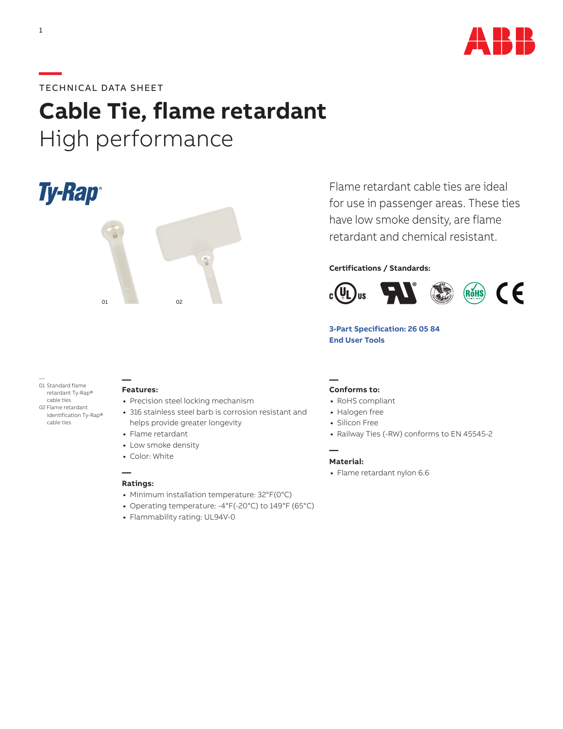

## **—**TECHNICAL DATA SHEET

# **Cable Tie, flame retardant** High performance

Ty-Rap®



Flame retardant cable ties are ideal for use in passenger areas. These ties have low smoke density, are flame retardant and chemical resistant.

## **Certifications / Standards:**



## **[3-Part Specification: 2](http://www-public.tnb.com/ps/pubint/specguide.cgi)6 05 84 [End User Tools](http://tnb.abb.com/pub/en/node/258)**

— 01 Standard flame retardant Ty-Rap® cable ties 02 Flame retardant identification Ty-Rap® cable ties

#### **— Features:**

- **•** Precision steel locking mechanism
- **•** 316 stainless steel barb is corrosion resistant and helps provide greater longevity

## **•** Flame retardant

- **•** Low smoke density
- **•** Color: White

#### **— Ratings:**

- **•** Minimum installation temperature: 32°F(0°C)
- **•** Operating temperature: -4°F(-20°C) to 149°F (65°C)
- **•** Flammability rating: UL94V-0

#### **— Conforms to:**

- **•** RoHS compliant
- **•** Halogen free
- **•** Silicon Free
- **•** Railway Ties (-RW) conforms to EN 45545-2

#### **Material:**

**—**

**•** Flame retardant nylon 6.6